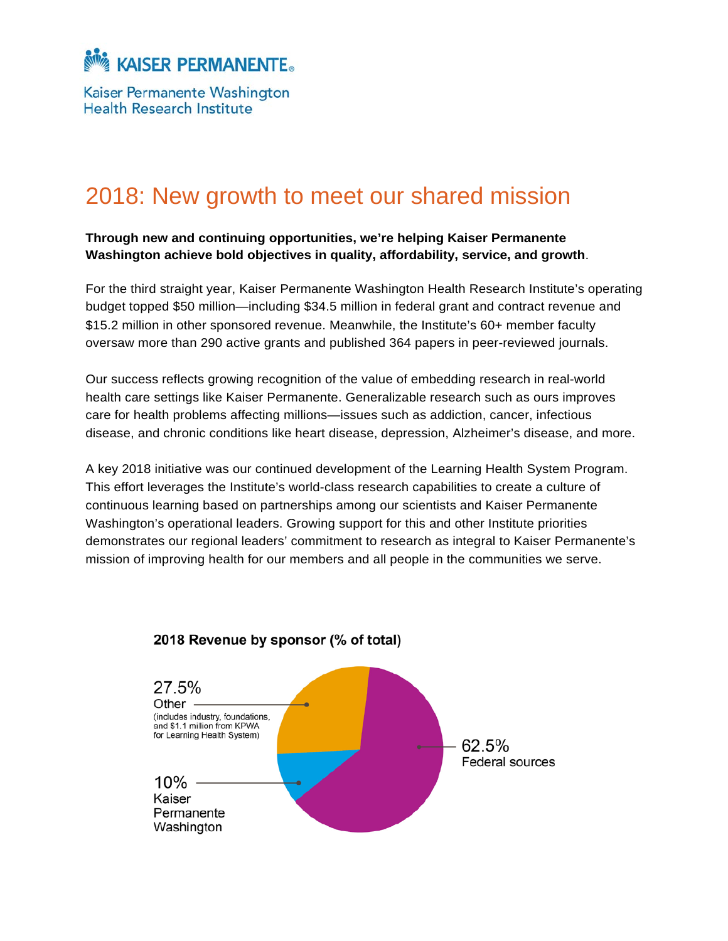

Kaiser Permanente Washington **Health Research Institute** 

# 2018: New growth to meet our shared mission

#### **Through new and continuing opportunities, we're helping Kaiser Permanente Washington achieve bold objectives in quality, affordability, service, and growth**.

For the third straight year, Kaiser Permanente Washington Health Research Institute's operating budget topped \$50 million—including \$34.5 million in federal grant and contract revenue and \$15.2 million in other sponsored revenue. Meanwhile, the Institute's 60+ member faculty oversaw more than 290 active grants and published 364 papers in peer-reviewed journals.

Our success reflects growing recognition of the value of embedding research in real-world health care settings like Kaiser Permanente. Generalizable research such as ours improves care for health problems affecting millions—issues such as addiction, cancer, infectious disease, and chronic conditions like heart disease, depression, Alzheimer's disease, and more.

A key 2018 initiative was our continued development of the Learning Health System Program. This effort leverages the Institute's world-class research capabilities to create a culture of continuous learning based on partnerships among our scientists and Kaiser Permanente Washington's operational leaders. Growing support for this and other Institute priorities demonstrates our regional leaders' commitment to research as integral to Kaiser Permanente's mission of improving health for our members and all people in the communities we serve.



### 2018 Revenue by sponsor (% of total)